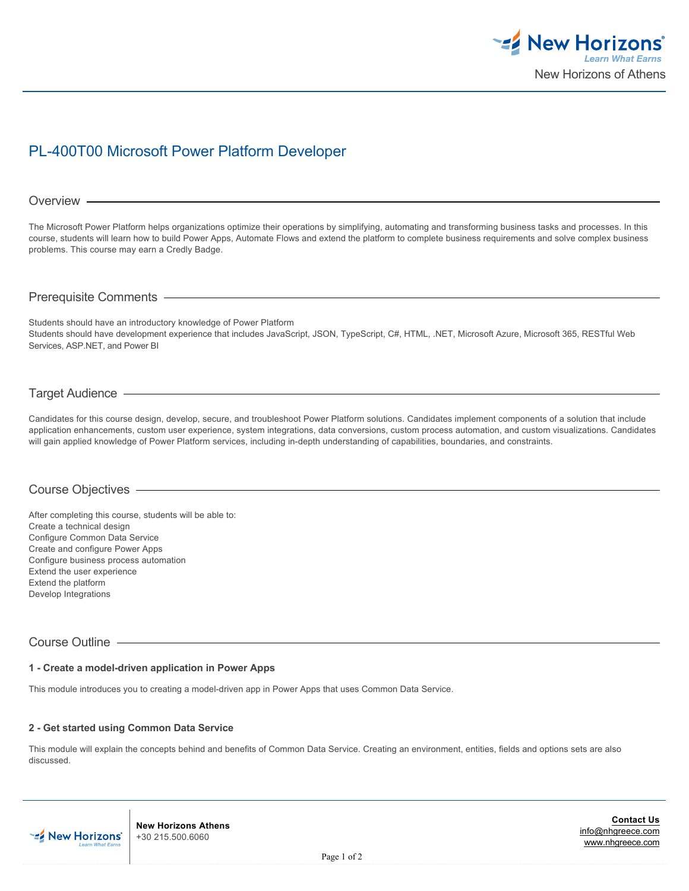

# PL-400T00 Microsoft Power Platform Developer

# Overview -

The Microsoft Power Platform helps organizations optimize their operations by simplifying, automating and transforming business tasks and processes. In this course, students will learn how to build Power Apps, Automate Flows and extend the platform to complete business requirements and solve complex business problems. This course may earn a Credly Badge.

# Prerequisite Comments

Students should have an introductory knowledge of Power Platform Students should have development experience that includes JavaScript, JSON, TypeScript, C#, HTML, .NET, Microsoft Azure, Microsoft 365, RESTful Web Services, ASP.NET, and Power BI

# Target Audience

Candidates for this course design, develop, secure, and troubleshoot Power Platform solutions. Candidates implement components of a solution that include application enhancements, custom user experience, system integrations, data conversions, custom process automation, and custom visualizations. Candidates will gain applied knowledge of Power Platform services, including in-depth understanding of capabilities, boundaries, and constraints.

# Course Objectives

After completing this course, students will be able to: Create a technical design Configure Common Data Service Create and configure Power Apps Configure business process automation Extend the user experience Extend the platform Develop Integrations

# Course Outline

## **1 - Create a model-driven application in Power Apps**

This module introduces you to creating a model-driven app in Power Apps that uses Common Data Service.

# **2 - Get started using Common Data Service**

This module will explain the concepts behind and benefits of Common Data Service. Creating an environment, entities, fields and options sets are also discussed.



**New Horizons Athens** +30 215.500.6060